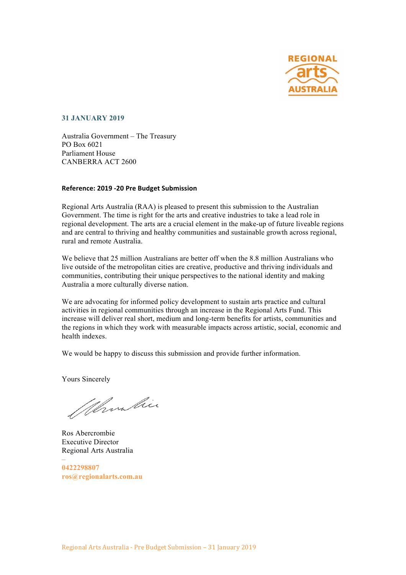

**31 JANUARY 2019**

Australia Government – The Treasury PO Box 6021 Parliament House CANBERRA ACT 2600

#### **Reference: 2019 -20 Pre Budget Submission**

Regional Arts Australia (RAA) is pleased to present this submission to the Australian Government. The time is right for the arts and creative industries to take a lead role in regional development. The arts are a crucial element in the make-up of future liveable regions and are central to thriving and healthy communities and sustainable growth across regional, rural and remote Australia.

We believe that 25 million Australians are better off when the 8.8 million Australians who live outside of the metropolitan cities are creative, productive and thriving individuals and communities, contributing their unique perspectives to the national identity and making Australia a more culturally diverse nation.

We are advocating for informed policy development to sustain arts practice and cultural activities in regional communities through an increase in the Regional Arts Fund. This increase will deliver real short, medium and long-term benefits for artists, communities and the regions in which they work with measurable impacts across artistic, social, economic and health indexes.

We would be happy to discuss this submission and provide further information.

Yours Sincerely

Whombie

Ros Abercrombie Executive Director Regional Arts Australia

**– 0422298807 ros@regionalarts.com.au**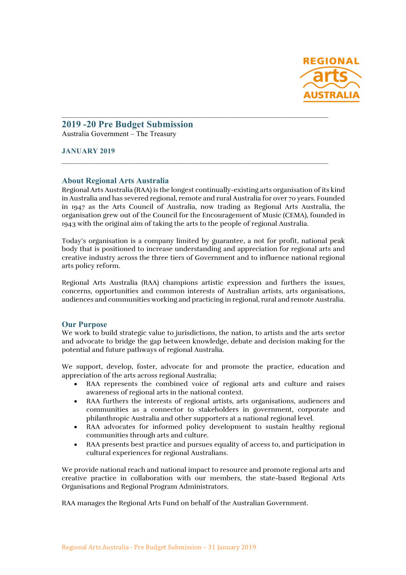

## **2019 -20 Pre Budget Submission** Australia Government – The Treasury

### **JANUARY 2019**

#### **About Regional Arts Australia**

Regional Arts Australia (RAA) is the longest continually-existing arts organisation of its kind in Australia and has severed regional, remote and rural Australia for over 70 years. Founded in 1947 as the Arts Council of Australia, now trading as Regional Arts Australia, the organisation grew out of the Council for the Encouragement of Music (CEMA), founded in 1943 with the original aim of taking the arts to the people of regional Australia.

 $\mathcal{L}_\text{max} = \mathcal{L}_\text{max} = \mathcal{L}_\text{max} = \mathcal{L}_\text{max} = \mathcal{L}_\text{max} = \mathcal{L}_\text{max} = \mathcal{L}_\text{max} = \mathcal{L}_\text{max} = \mathcal{L}_\text{max} = \mathcal{L}_\text{max} = \mathcal{L}_\text{max} = \mathcal{L}_\text{max} = \mathcal{L}_\text{max} = \mathcal{L}_\text{max} = \mathcal{L}_\text{max} = \mathcal{L}_\text{max} = \mathcal{L}_\text{max} = \mathcal{L}_\text{max} = \mathcal{$ 

 $\mathcal{L}_\mathcal{L} = \mathcal{L}_\mathcal{L} = \mathcal{L}_\mathcal{L} = \mathcal{L}_\mathcal{L} = \mathcal{L}_\mathcal{L} = \mathcal{L}_\mathcal{L} = \mathcal{L}_\mathcal{L} = \mathcal{L}_\mathcal{L} = \mathcal{L}_\mathcal{L} = \mathcal{L}_\mathcal{L} = \mathcal{L}_\mathcal{L} = \mathcal{L}_\mathcal{L} = \mathcal{L}_\mathcal{L} = \mathcal{L}_\mathcal{L} = \mathcal{L}_\mathcal{L} = \mathcal{L}_\mathcal{L} = \mathcal{L}_\mathcal{L}$ 

Today's organisation is a company limited by guarantee, a not for profit, national peak body that is positioned to increase understanding and appreciation for regional arts and creative industry across the three tiers of Government and to influence national regional arts policy reform.

Regional Arts Australia (RAA) champions artistic expression and furthers the issues, concerns, opportunities and common interests of Australian artists, arts organisations, audiences and communities working and practicing in regional, rural and remote Australia.

#### **Our Purpose**

We work to build strategic value to jurisdictions, the nation, to artists and the arts sector and advocate to bridge the gap between knowledge, debate and decision making for the potential and future pathways of regional Australia.

We support, develop, foster, advocate for and promote the practice, education and appreciation of the arts across regional Australia;

- RAA represents the combined voice of regional arts and culture and raises awareness of regional arts in the national context.
- RAA furthers the interests of regional artists, arts organisations, audiences and communities as a connector to stakeholders in government, corporate and philanthropic Australia and other supporters at a national regional level.
- RAA advocates for informed policy development to sustain healthy regional communities through arts and culture.
- RAA presents best practice and pursues equality of access to, and participation in cultural experiences for regional Australians.

We provide national reach and national impact to resource and promote regional arts and creative practice in collaboration with our members, the state-based Regional Arts Organisations and Regional Program Administrators.

RAA manages the Regional Arts Fund on behalf of the Australian Government.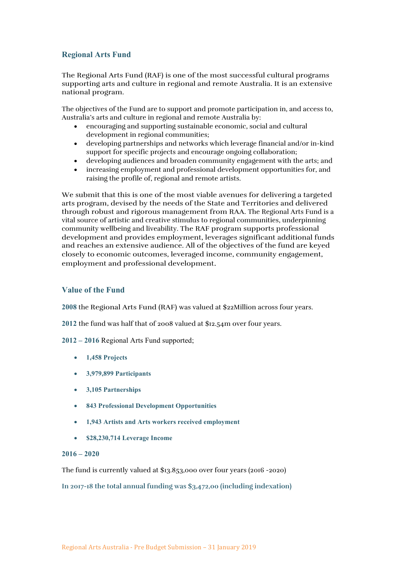# **Regional Arts Fund**

The Regional Arts Fund (RAF) is one of the most successful cultural programs supporting arts and culture in regional and remote Australia. It is an extensive national program.

The objectives of the Fund are to support and promote participation in, and access to, Australia's arts and culture in regional and remote Australia by:

- encouraging and supporting sustainable economic, social and cultural development in regional communities;
- developing partnerships and networks which leverage financial and/or in-kind support for specific projects and encourage ongoing collaboration;
- developing audiences and broaden community engagement with the arts; and
- increasing employment and professional development opportunities for, and raising the profile of, regional and remote artists.

We submit that this is one of the most viable avenues for delivering a targeted arts program, devised by the needs of the State and Territories and delivered through robust and rigorous management from RAA. The Regional Arts Fund is a vital source of artistic and creative stimulus to regional communities, underpinning community wellbeing and liveability. The RAF program supports professional development and provides employment, leverages significant additional funds and reaches an extensive audience. All of the objectives of the fund are keyed closely to economic outcomes, leveraged income, community engagement, employment and professional development.

### **Value of the Fund**

**2008** the Regional Arts Fund (RAF) was valued at \$22Million across four years.

**2012** the fund was half that of 2008 valued at \$12.54m over four years.

- **2012 – 2016** Regional Arts Fund supported;
	- **1,458 Projects**
	- **3,979,899 Participants**
	- **3,105 Partnerships**
	- **843 Professional Development Opportunities**
	- **1,943 Artists and Arts workers received employment**
	- **\$28,230,714 Leverage Income**

#### **2016 – 2020**

The fund is currently valued at \$13.853,000 over four years (2016 -2020)

**In 2017-18 the total annual funding was \$3,472,00 (including indexation)**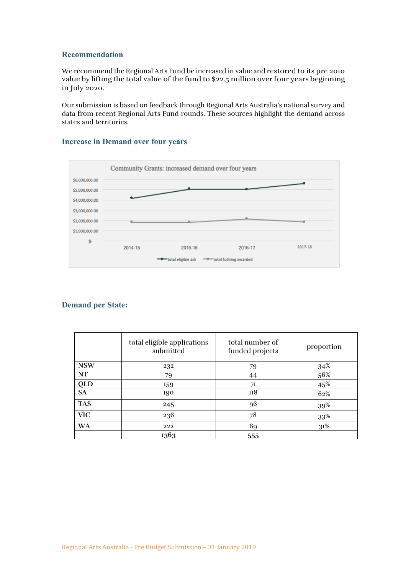### **Recommendation**

We recommend the Regional Arts Fund be increased in value and restored to its pre 2010 value by lifting the total value of the fund to \$22.5 million over four years beginning in July 2020.

Our submission is based on feedback through Regional Arts Australia's national survey and data from recent Regional Arts Fund rounds. These sources highlight the demand across states and territories.

### **Increase in Demand over four years**



## **Demand per State:**

|                              | total eligible applications<br>submitted | total number of<br>funded projects | proportion |
|------------------------------|------------------------------------------|------------------------------------|------------|
| <b>NSW</b>                   | 232                                      | 79                                 | 34%        |
| <b>NT</b>                    | 79                                       | 44                                 | 56%        |
| $rac{\text{QLD}}{\text{SA}}$ | 159                                      | 71                                 | 45%        |
|                              | 190                                      | II <sub>8</sub>                    | 62%        |
| <b>TAS</b>                   | 245                                      | 96                                 | 39%        |
| <b>VIC</b>                   | 236                                      | 78                                 | 33%        |
| <b>WA</b>                    | 222                                      | 69                                 | 31%        |
|                              | 1363                                     | 555                                |            |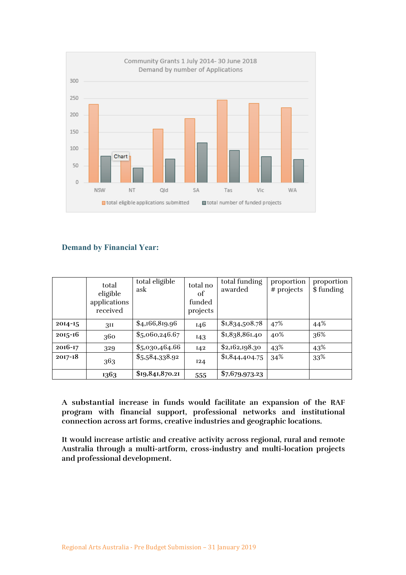

# **Demand by Financial Year:**

|             | total<br>eligible<br>applications<br>received | total eligible<br>ask | total no<br>of<br>funded<br>projects | total funding<br>awarded | proportion<br># projects | proportion<br>\$funding |
|-------------|-----------------------------------------------|-----------------------|--------------------------------------|--------------------------|--------------------------|-------------------------|
| 2014-15     | 311                                           | \$4,166,819.96        | 146                                  | \$1,834,508.78           | 47%                      | 44%                     |
| $2015 - 16$ | 360                                           | \$5,060,246.67        | 143                                  | \$1,838,861.40           | 40%                      | 36%                     |
| $2016 - 17$ | 329                                           | \$5,030,464.66        | I42                                  | \$2,162,198.30           | 43%                      | 43%                     |
| $2017 - 18$ | 363                                           | \$5,584,338.92        | 124                                  | \$I,844,404.75           | 34%                      | 33%                     |
|             | 1363                                          | \$19,841,870.21       | 555                                  | \$7,679,973.23           |                          |                         |

**A substantial increase in funds would facilitate an expansion of the RAF program with financial support, professional networks and institutional connection across art forms, creative industries and geographic locations.** 

**It would increase artistic and creative activity across regional, rural and remote Australia through a multi-artform, cross-industry and multi-location projects and professional development.**